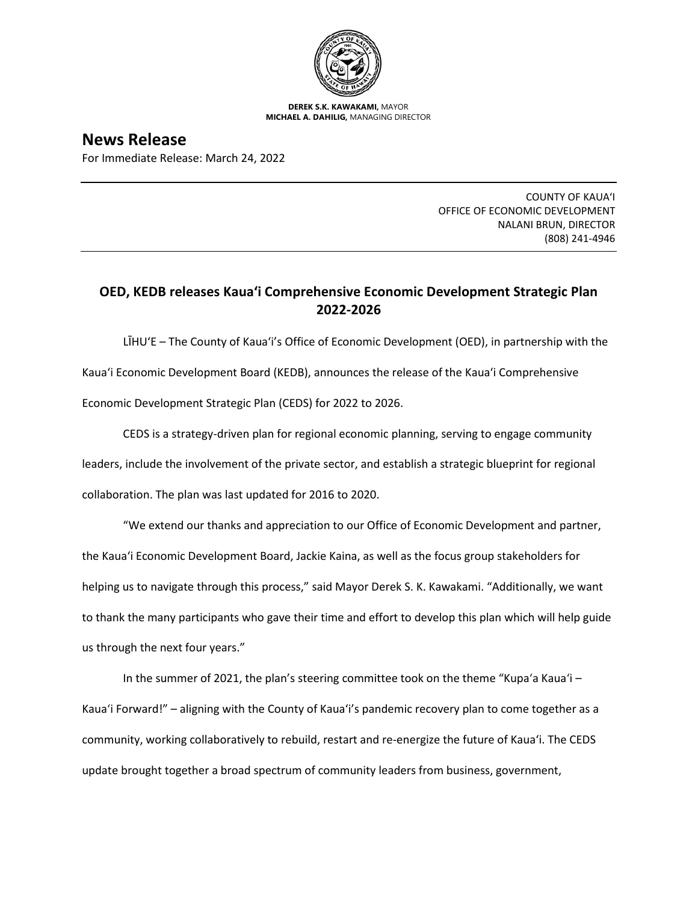

**DEREK S.K. KAWAKAMI,** MAYOR **MICHAEL A. DAHILIG,** MANAGING DIRECTOR

**News Release** For Immediate Release: March 24, 2022

> COUNTY OF KAUA'I OFFICE OF ECONOMIC DEVELOPMENT NALANI BRUN, DIRECTOR (808) 241-4946

## **OED, KEDB releases Kaua'i Comprehensive Economic Development Strategic Plan 2022-2026**

LĪHU'E – The County of Kaua'i's Office of Economic Development (OED), in partnership with the Kaua'i Economic Development Board (KEDB), announces the release of the Kaua'i Comprehensive Economic Development Strategic Plan (CEDS) for 2022 to 2026.

CEDS is a strategy-driven plan for regional economic planning, serving to engage community leaders, include the involvement of the private sector, and establish a strategic blueprint for regional collaboration. The plan was last updated for 2016 to 2020.

"We extend our thanks and appreciation to our Office of Economic Development and partner, the Kaua'i Economic Development Board, Jackie Kaina, as well as the focus group stakeholders for helping us to navigate through this process," said Mayor Derek S. K. Kawakami. "Additionally, we want to thank the many participants who gave their time and effort to develop this plan which will help guide us through the next four years."

In the summer of 2021, the plan's steering committee took on the theme "Kupa'a Kaua'i – Kaua'i Forward!" – aligning with the County of Kaua'i's pandemic recovery plan to come together as a community, working collaboratively to rebuild, restart and re-energize the future of Kaua'i. The CEDS update brought together a broad spectrum of community leaders from business, government,